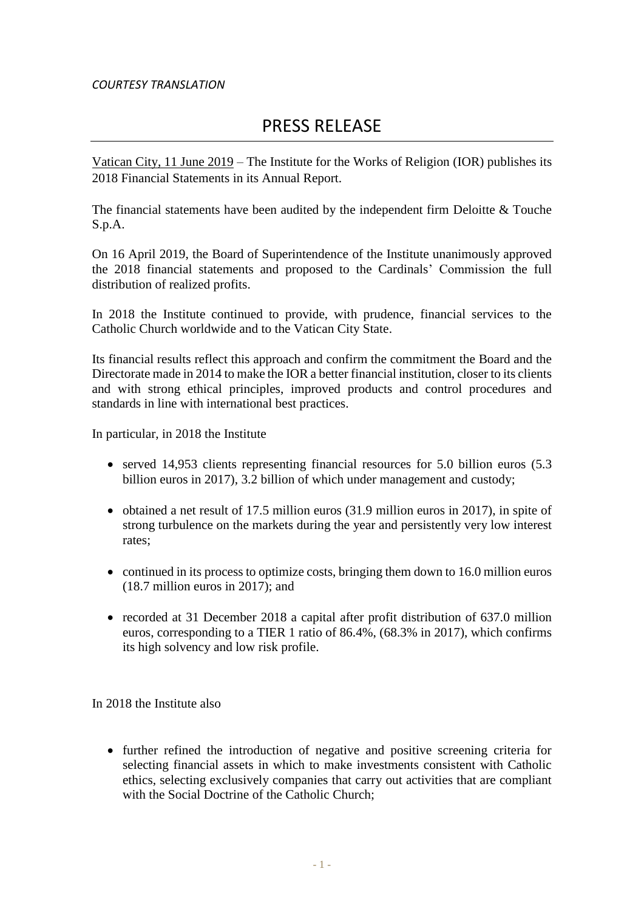## *COURTESY TRANSLATION*

## PRESS RELEASE

Vatican City, 11 June 2019 – The Institute for the Works of Religion (IOR) publishes its 2018 Financial Statements in its Annual Report.

The financial statements have been audited by the independent firm Deloitte & Touche S.p.A.

On 16 April 2019, the Board of Superintendence of the Institute unanimously approved the 2018 financial statements and proposed to the Cardinals' Commission the full distribution of realized profits.

In 2018 the Institute continued to provide, with prudence, financial services to the Catholic Church worldwide and to the Vatican City State.

Its financial results reflect this approach and confirm the commitment the Board and the Directorate made in 2014 to make the IOR a better financial institution, closer to its clients and with strong ethical principles, improved products and control procedures and standards in line with international best practices.

In particular, in 2018 the Institute

- served 14,953 clients representing financial resources for 5.0 billion euros (5.3 billion euros in 2017), 3.2 billion of which under management and custody;
- $\bullet$  obtained a net result of 17.5 million euros (31.9 million euros in 2017), in spite of strong turbulence on the markets during the year and persistently very low interest rates;
- continued in its process to optimize costs, bringing them down to 16.0 million euros (18.7 million euros in 2017); and
- recorded at 31 December 2018 a capital after profit distribution of 637.0 million euros, corresponding to a TIER 1 ratio of 86.4%, (68.3% in 2017), which confirms its high solvency and low risk profile.

In 2018 the Institute also

• further refined the introduction of negative and positive screening criteria for selecting financial assets in which to make investments consistent with Catholic ethics, selecting exclusively companies that carry out activities that are compliant with the Social Doctrine of the Catholic Church: